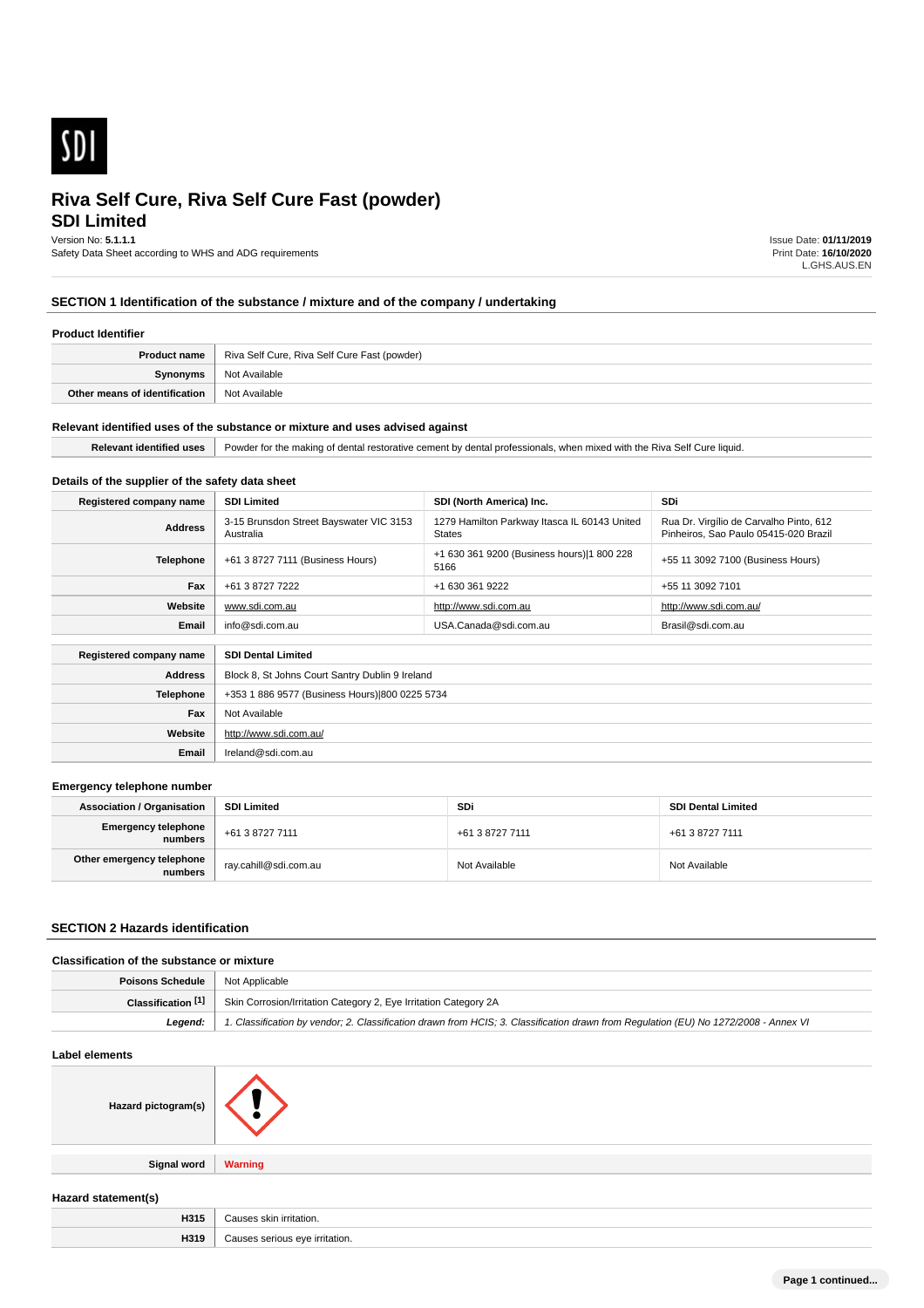

# **SDI Limited**

Version No: **5.1.1.1**

Safety Data Sheet according to WHS and ADG requirements

Issue Date: **01/11/2019** Print Date: **16/10/2020** L.GHS.AUS.EN

# **SECTION 1 Identification of the substance / mixture and of the company / undertaking**

#### **Product Identifier**

| <b>Product name</b>           | Riva Self Cure, Riva Self Cure Fast (powder) |
|-------------------------------|----------------------------------------------|
| Synonyms                      | Not Available                                |
| Other means of identification | Not Available                                |

#### **Relevant identified uses of the substance or mixture and uses advised against**

**Email** Ireland@sdi.com.au

H319 | Causes serious eye irritation.

| Powder for the making of dental restorative cement by dental professionals, when mixed with the Riva Self Cure liquid. |
|------------------------------------------------------------------------------------------------------------------------|

### **Details of the supplier of the safety data sheet**

| Registered company name | <b>SDI Limited</b>                                   | SDI (North America) Inc.                                      | SDi                                                                              |
|-------------------------|------------------------------------------------------|---------------------------------------------------------------|----------------------------------------------------------------------------------|
| <b>Address</b>          | 3-15 Brunsdon Street Bayswater VIC 3153<br>Australia | 1279 Hamilton Parkway Itasca IL 60143 United<br><b>States</b> | Rua Dr. Virgílio de Carvalho Pinto, 612<br>Pinheiros, Sao Paulo 05415-020 Brazil |
| <b>Telephone</b>        | +61 3 8727 7111 (Business Hours)                     | +1 630 361 9200 (Business hours) 1 800 228<br>5166            | +55 11 3092 7100 (Business Hours)                                                |
| Fax                     | +61 3 8727 7222                                      | +1 630 361 9222                                               | +55 11 3092 7101                                                                 |
| Website                 | www.sdi.com.au                                       | http://www.sdi.com.au                                         | http://www.sdi.com.au/                                                           |
| Email                   | info@sdi.com.au                                      | USA.Canada@sdi.com.au                                         | Brasil@sdi.com.au                                                                |
|                         |                                                      |                                                               |                                                                                  |
| Registered company name | <b>SDI Dental Limited</b>                            |                                                               |                                                                                  |
| <b>Address</b>          | Block 8, St Johns Court Santry Dublin 9 Ireland      |                                                               |                                                                                  |
| <b>Telephone</b>        | +353 1 886 9577 (Business Hours) 800 0225 5734       |                                                               |                                                                                  |
| Fax                     | Not Available                                        |                                                               |                                                                                  |
| Website                 | http://www.sdi.com.au/                               |                                                               |                                                                                  |

#### **Emergency telephone number**

| <b>Association / Organisation</b>     | <b>SDI Limited</b>    | SDi             | <b>SDI Dental Limited</b> |
|---------------------------------------|-----------------------|-----------------|---------------------------|
| <b>Emergency telephone</b><br>numbers | +61 3 8727 7111       | +61 3 8727 7111 | +61 3 8727 7111           |
| Other emergency telephone<br>numbers  | ray.cahill@sdi.com.au | Not Available   | Not Available             |

### **SECTION 2 Hazards identification**

### **Classification of the substance or mixture**

| Poisons Schedule   Not Applicable |                                                                                                                                      |
|-----------------------------------|--------------------------------------------------------------------------------------------------------------------------------------|
|                                   | <b>Classification [1]</b> Skin Corrosion/Irritation Category 2, Eye Irritation Category 2A                                           |
| Leaend:                           | 1. Classification by vendor; 2. Classification drawn from HCIS; 3. Classification drawn from Requlation (EU) No 1272/2008 - Annex VI |

#### **Label elements**

| Laber elements      |                         |  |
|---------------------|-------------------------|--|
| Hazard pictogram(s) |                         |  |
|                     |                         |  |
| <b>Signal word</b>  | <b>Warning</b>          |  |
|                     |                         |  |
| Hazard statement(s) |                         |  |
| H315                | Causes skin irritation. |  |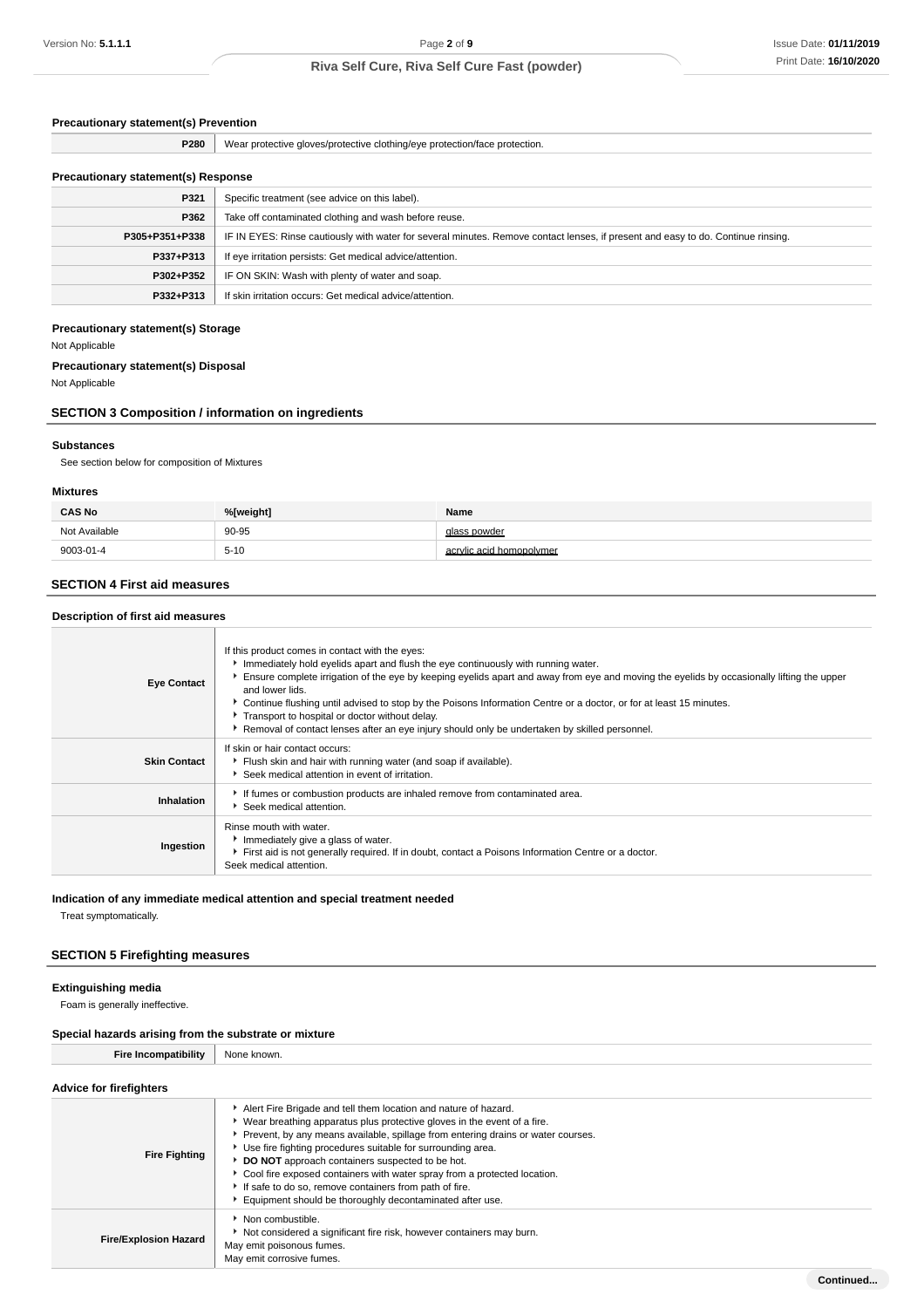### **Precautionary statement(s) Prevention**

| P280                                       | Wear protective gloves/protective clothing/eye protection/face protection.                                                       |
|--------------------------------------------|----------------------------------------------------------------------------------------------------------------------------------|
|                                            |                                                                                                                                  |
| <b>Precautionary statement(s) Response</b> |                                                                                                                                  |
| P321                                       | Specific treatment (see advice on this label).                                                                                   |
| P362                                       | Take off contaminated clothing and wash before reuse.                                                                            |
| P305+P351+P338                             | IF IN EYES: Rinse cautiously with water for several minutes. Remove contact lenses, if present and easy to do. Continue rinsing. |
| P337+P313                                  | If eye irritation persists: Get medical advice/attention.                                                                        |
| P302+P352                                  | IF ON SKIN: Wash with plenty of water and soap.                                                                                  |
| P332+P313                                  | If skin irritation occurs: Get medical advice/attention.                                                                         |

### **Precautionary statement(s) Storage**

Not Applicable

#### **Precautionary statement(s) Disposal**

Not Applicable

### **SECTION 3 Composition / information on ingredients**

#### **Substances**

See section below for composition of Mixtures

#### **Mixtures**

| <b>CAS No</b> | %[weight] | Name                     |
|---------------|-----------|--------------------------|
| Not Available | 90-95     | glass powder             |
| 9003-01-4     | $5 - 10$  | acrylic acid homopolymer |

### **SECTION 4 First aid measures**

| Description of first aid measures |                                                                                                                                                                                                                                                                                                                                                                                                                                                                                                                                                                                 |  |
|-----------------------------------|---------------------------------------------------------------------------------------------------------------------------------------------------------------------------------------------------------------------------------------------------------------------------------------------------------------------------------------------------------------------------------------------------------------------------------------------------------------------------------------------------------------------------------------------------------------------------------|--|
| <b>Eye Contact</b>                | If this product comes in contact with the eyes:<br>Immediately hold eyelids apart and flush the eye continuously with running water.<br>Ensure complete irrigation of the eye by keeping eyelids apart and away from eye and moving the eyelids by occasionally lifting the upper<br>and lower lids.<br>► Continue flushing until advised to stop by the Poisons Information Centre or a doctor, or for at least 15 minutes.<br>Transport to hospital or doctor without delay.<br>Removal of contact lenses after an eye injury should only be undertaken by skilled personnel. |  |
| <b>Skin Contact</b>               | If skin or hair contact occurs:<br>Flush skin and hair with running water (and soap if available).<br>Seek medical attention in event of irritation.                                                                                                                                                                                                                                                                                                                                                                                                                            |  |
| Inhalation                        | If fumes or combustion products are inhaled remove from contaminated area.<br>Seek medical attention.                                                                                                                                                                                                                                                                                                                                                                                                                                                                           |  |
| Ingestion                         | Rinse mouth with water.<br>Immediately give a glass of water.<br>First aid is not generally required. If in doubt, contact a Poisons Information Centre or a doctor.<br>Seek medical attention.                                                                                                                                                                                                                                                                                                                                                                                 |  |

### **Indication of any immediate medical attention and special treatment needed**

Treat symptomatically.

### **SECTION 5 Firefighting measures**

#### **Extinguishing media**

Foam is generally ineffective.

## **Special hazards arising from the substrate or mixture**

**Fire Incompatibility** None known.

| <b>Advice for firefighters</b> |                                                                                                                                                                                                                                                                                                                                                                                                                                                                                                                                                          |
|--------------------------------|----------------------------------------------------------------------------------------------------------------------------------------------------------------------------------------------------------------------------------------------------------------------------------------------------------------------------------------------------------------------------------------------------------------------------------------------------------------------------------------------------------------------------------------------------------|
| <b>Fire Fighting</b>           | Alert Fire Brigade and tell them location and nature of hazard.<br>• Wear breathing apparatus plus protective gloves in the event of a fire.<br>▶ Prevent, by any means available, spillage from entering drains or water courses.<br>• Use fire fighting procedures suitable for surrounding area.<br>DO NOT approach containers suspected to be hot.<br>Cool fire exposed containers with water spray from a protected location.<br>If safe to do so, remove containers from path of fire.<br>Equipment should be thoroughly decontaminated after use. |
| <b>Fire/Explosion Hazard</b>   | $\blacktriangleright$ Non combustible.<br>Not considered a significant fire risk, however containers may burn.<br>May emit poisonous fumes.<br>May emit corrosive fumes.                                                                                                                                                                                                                                                                                                                                                                                 |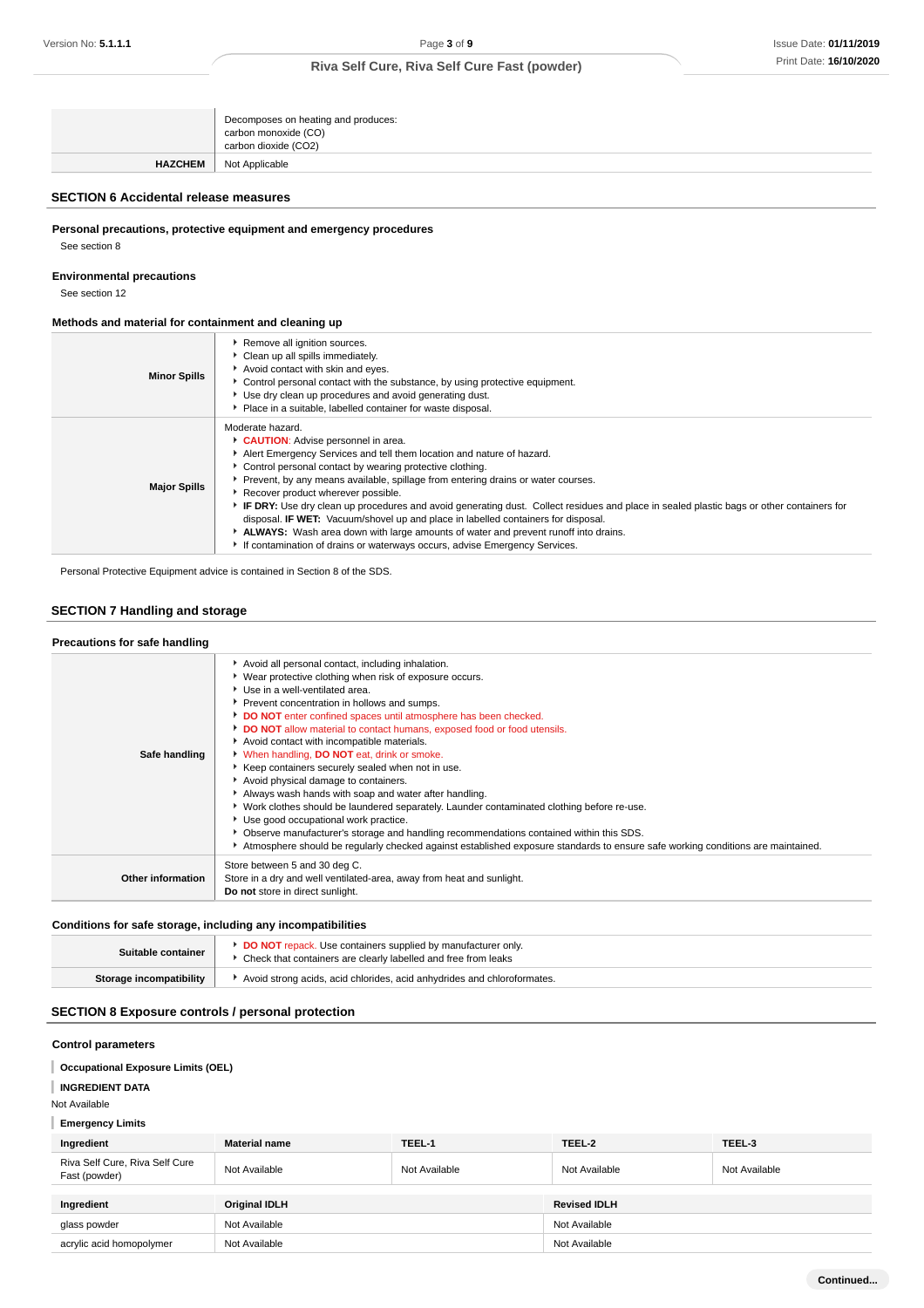|                | Decomposes on heating and produces:<br>carbon monoxide (CO)<br>carbon dioxide (CO2) |
|----------------|-------------------------------------------------------------------------------------|
| <b>HAZCHEM</b> | Not Applicable                                                                      |

## **SECTION 6 Accidental release measures**

**Personal precautions, protective equipment and emergency procedures**

See section 8

**Environmental precautions**

See section 12

#### **Methods and material for containment and cleaning up**

| <b>Minor Spills</b> | Remove all ignition sources.<br>Clean up all spills immediately.<br>Avoid contact with skin and eyes.<br>Control personal contact with the substance, by using protective equipment.<br>Use dry clean up procedures and avoid generating dust.<br>• Place in a suitable, labelled container for waste disposal.                                                                                                                                                                                                                                                                                                                                                                                                                         |
|---------------------|-----------------------------------------------------------------------------------------------------------------------------------------------------------------------------------------------------------------------------------------------------------------------------------------------------------------------------------------------------------------------------------------------------------------------------------------------------------------------------------------------------------------------------------------------------------------------------------------------------------------------------------------------------------------------------------------------------------------------------------------|
| <b>Major Spills</b> | Moderate hazard.<br>CAUTION: Advise personnel in area.<br>Alert Emergency Services and tell them location and nature of hazard.<br>• Control personal contact by wearing protective clothing.<br>▶ Prevent, by any means available, spillage from entering drains or water courses.<br>Recover product wherever possible.<br>► IF DRY: Use dry clean up procedures and avoid generating dust. Collect residues and place in sealed plastic bags or other containers for<br>disposal. <b>IF WET:</b> Vacuum/shovel up and place in labelled containers for disposal.<br>ALWAYS: Wash area down with large amounts of water and prevent runoff into drains.<br>If contamination of drains or waterways occurs, advise Emergency Services. |

Personal Protective Equipment advice is contained in Section 8 of the SDS.

# **SECTION 7 Handling and storage**

| Precautions for safe handling |                                                                                                                                                                                                                                                                                                                                                                                                                                                                                                                                                                                                                                                                                                                                                                                                                                                                                                                                                                           |
|-------------------------------|---------------------------------------------------------------------------------------------------------------------------------------------------------------------------------------------------------------------------------------------------------------------------------------------------------------------------------------------------------------------------------------------------------------------------------------------------------------------------------------------------------------------------------------------------------------------------------------------------------------------------------------------------------------------------------------------------------------------------------------------------------------------------------------------------------------------------------------------------------------------------------------------------------------------------------------------------------------------------|
| Safe handling                 | Avoid all personal contact, including inhalation.<br>▶ Wear protective clothing when risk of exposure occurs.<br>▶ Use in a well-ventilated area.<br>Prevent concentration in hollows and sumps.<br>DO NOT enter confined spaces until atmosphere has been checked.<br>DO NOT allow material to contact humans, exposed food or food utensils.<br>Avoid contact with incompatible materials.<br>V When handling, DO NOT eat, drink or smoke.<br>▶ Keep containers securely sealed when not in use.<br>Avoid physical damage to containers.<br>Always wash hands with soap and water after handling.<br>▶ Work clothes should be laundered separately. Launder contaminated clothing before re-use.<br>Use good occupational work practice.<br>▶ Observe manufacturer's storage and handling recommendations contained within this SDS.<br>Atmosphere should be regularly checked against established exposure standards to ensure safe working conditions are maintained. |
| Other information             | Store between 5 and 30 deg C.<br>Store in a dry and well ventilated-area, away from heat and sunlight.<br>Do not store in direct sunlight.                                                                                                                                                                                                                                                                                                                                                                                                                                                                                                                                                                                                                                                                                                                                                                                                                                |
|                               |                                                                                                                                                                                                                                                                                                                                                                                                                                                                                                                                                                                                                                                                                                                                                                                                                                                                                                                                                                           |

### **Conditions for safe storage, including any incompatibilities**

| Suitable container      | <b>DO NOT</b> repack. Use containers supplied by manufacturer only.<br>▶ Check that containers are clearly labelled and free from leaks |  |
|-------------------------|-----------------------------------------------------------------------------------------------------------------------------------------|--|
| Storage incompatibility | Avoid strong acids, acid chlorides, acid anhydrides and chloroformates.                                                                 |  |

### **SECTION 8 Exposure controls / personal protection**

# **Control parameters Occupational Exposure Limits (OEL) INGREDIENT DATA** Not Available **Emergency Limits Ingredient Material name TEEL-1 TEEL-2 TEEL-3** Riva Self Cure, Riva Self Cure

| Riva Self Cure, Riva Self Cure<br>Fast (powder) | Not Available        | Not Available | Not Available       | Not Available |
|-------------------------------------------------|----------------------|---------------|---------------------|---------------|
|                                                 |                      |               |                     |               |
| Ingredient                                      | <b>Original IDLH</b> |               | <b>Revised IDLH</b> |               |
| glass powder                                    | Not Available        |               | Not Available       |               |
| acrylic acid homopolymer                        | Not Available        |               | Not Available       |               |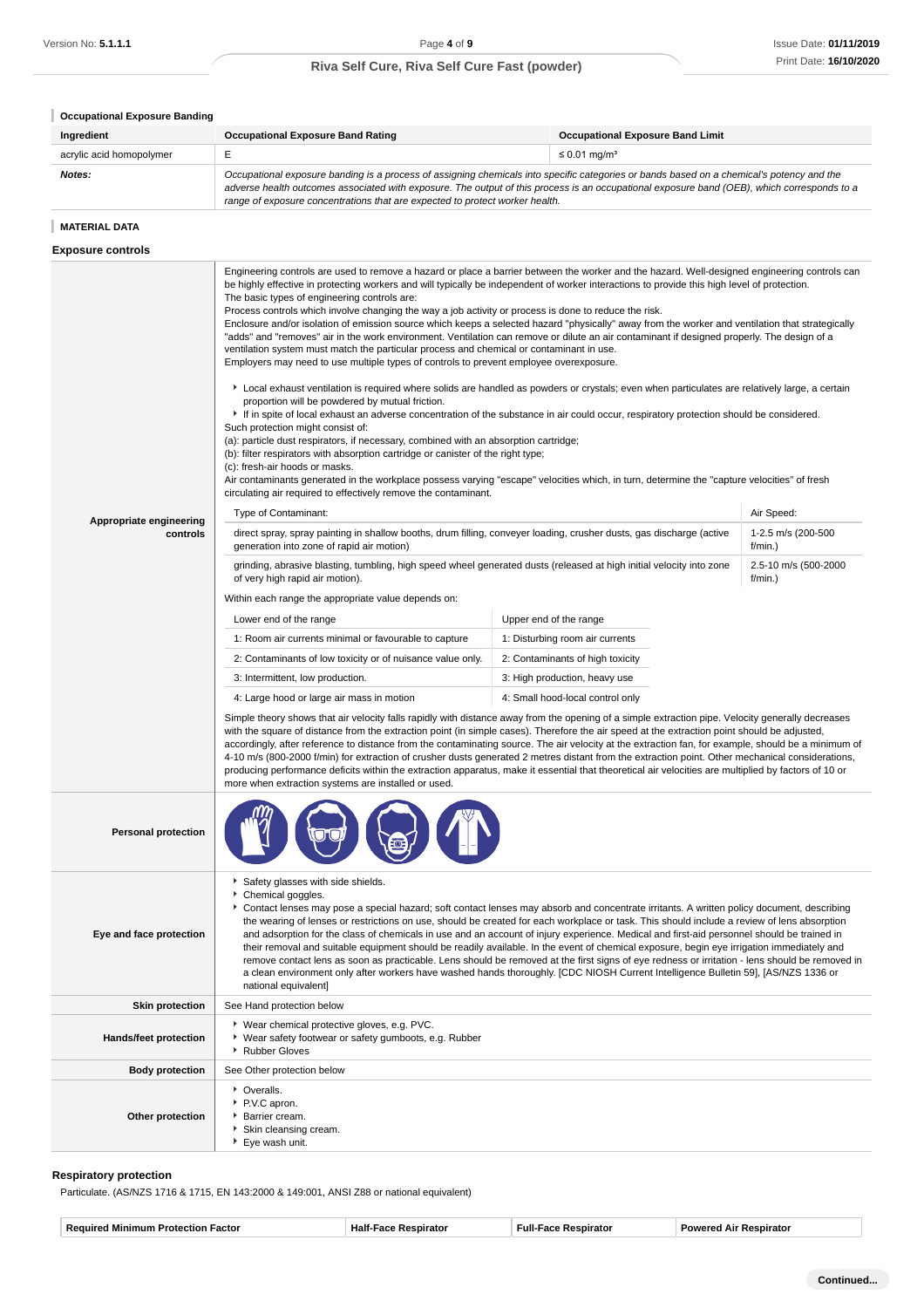| <b>Occupational Exposure Banding</b> |                                                                                                                                                                                                                                                                                                                                                                                                                                                                                                                                                                                                                                                                                                                                                                                                                                                                                                                                                                                                                                                                                                                                                                                                                                                                                                                                                                                                                                                                                                                                                                                                                                                                                                                                                                                                                                                                                                                                                                                                                                                                                                                                                                                                                                                                                                                                                                                                                                                                                                                                                                                                                                                                                                                                                                                                                                                                                                                                                                                                                                                                                                                                                                                                                                                       |                                                                                |  |  |
|--------------------------------------|-------------------------------------------------------------------------------------------------------------------------------------------------------------------------------------------------------------------------------------------------------------------------------------------------------------------------------------------------------------------------------------------------------------------------------------------------------------------------------------------------------------------------------------------------------------------------------------------------------------------------------------------------------------------------------------------------------------------------------------------------------------------------------------------------------------------------------------------------------------------------------------------------------------------------------------------------------------------------------------------------------------------------------------------------------------------------------------------------------------------------------------------------------------------------------------------------------------------------------------------------------------------------------------------------------------------------------------------------------------------------------------------------------------------------------------------------------------------------------------------------------------------------------------------------------------------------------------------------------------------------------------------------------------------------------------------------------------------------------------------------------------------------------------------------------------------------------------------------------------------------------------------------------------------------------------------------------------------------------------------------------------------------------------------------------------------------------------------------------------------------------------------------------------------------------------------------------------------------------------------------------------------------------------------------------------------------------------------------------------------------------------------------------------------------------------------------------------------------------------------------------------------------------------------------------------------------------------------------------------------------------------------------------------------------------------------------------------------------------------------------------------------------------------------------------------------------------------------------------------------------------------------------------------------------------------------------------------------------------------------------------------------------------------------------------------------------------------------------------------------------------------------------------------------------------------------------------------------------------------------------------|--------------------------------------------------------------------------------|--|--|
| Ingredient                           | <b>Occupational Exposure Band Rating</b><br><b>Occupational Exposure Band Limit</b>                                                                                                                                                                                                                                                                                                                                                                                                                                                                                                                                                                                                                                                                                                                                                                                                                                                                                                                                                                                                                                                                                                                                                                                                                                                                                                                                                                                                                                                                                                                                                                                                                                                                                                                                                                                                                                                                                                                                                                                                                                                                                                                                                                                                                                                                                                                                                                                                                                                                                                                                                                                                                                                                                                                                                                                                                                                                                                                                                                                                                                                                                                                                                                   |                                                                                |  |  |
| acrylic acid homopolymer             | Е<br>$\leq 0.01$ mg/m <sup>3</sup>                                                                                                                                                                                                                                                                                                                                                                                                                                                                                                                                                                                                                                                                                                                                                                                                                                                                                                                                                                                                                                                                                                                                                                                                                                                                                                                                                                                                                                                                                                                                                                                                                                                                                                                                                                                                                                                                                                                                                                                                                                                                                                                                                                                                                                                                                                                                                                                                                                                                                                                                                                                                                                                                                                                                                                                                                                                                                                                                                                                                                                                                                                                                                                                                                    |                                                                                |  |  |
| Notes:                               | Occupational exposure banding is a process of assigning chemicals into specific categories or bands based on a chemical's potency and the<br>adverse health outcomes associated with exposure. The output of this process is an occupational exposure band (OEB), which corresponds to a<br>range of exposure concentrations that are expected to protect worker health.                                                                                                                                                                                                                                                                                                                                                                                                                                                                                                                                                                                                                                                                                                                                                                                                                                                                                                                                                                                                                                                                                                                                                                                                                                                                                                                                                                                                                                                                                                                                                                                                                                                                                                                                                                                                                                                                                                                                                                                                                                                                                                                                                                                                                                                                                                                                                                                                                                                                                                                                                                                                                                                                                                                                                                                                                                                                              |                                                                                |  |  |
| <b>MATERIAL DATA</b>                 |                                                                                                                                                                                                                                                                                                                                                                                                                                                                                                                                                                                                                                                                                                                                                                                                                                                                                                                                                                                                                                                                                                                                                                                                                                                                                                                                                                                                                                                                                                                                                                                                                                                                                                                                                                                                                                                                                                                                                                                                                                                                                                                                                                                                                                                                                                                                                                                                                                                                                                                                                                                                                                                                                                                                                                                                                                                                                                                                                                                                                                                                                                                                                                                                                                                       |                                                                                |  |  |
| <b>Exposure controls</b>             |                                                                                                                                                                                                                                                                                                                                                                                                                                                                                                                                                                                                                                                                                                                                                                                                                                                                                                                                                                                                                                                                                                                                                                                                                                                                                                                                                                                                                                                                                                                                                                                                                                                                                                                                                                                                                                                                                                                                                                                                                                                                                                                                                                                                                                                                                                                                                                                                                                                                                                                                                                                                                                                                                                                                                                                                                                                                                                                                                                                                                                                                                                                                                                                                                                                       |                                                                                |  |  |
| Appropriate engineering<br>controls  | Engineering controls are used to remove a hazard or place a barrier between the worker and the hazard. Well-designed engineering controls can<br>be highly effective in protecting workers and will typically be independent of worker interactions to provide this high level of protection.<br>The basic types of engineering controls are:<br>Process controls which involve changing the way a job activity or process is done to reduce the risk.<br>Enclosure and/or isolation of emission source which keeps a selected hazard "physically" away from the worker and ventilation that strategically<br>"adds" and "removes" air in the work environment. Ventilation can remove or dilute an air contaminant if designed properly. The design of a<br>ventilation system must match the particular process and chemical or contaminant in use.<br>Employers may need to use multiple types of controls to prevent employee overexposure.<br>Local exhaust ventilation is required where solids are handled as powders or crystals; even when particulates are relatively large, a certain<br>proportion will be powdered by mutual friction.<br>• If in spite of local exhaust an adverse concentration of the substance in air could occur, respiratory protection should be considered.<br>Such protection might consist of:<br>(a): particle dust respirators, if necessary, combined with an absorption cartridge;<br>(b): filter respirators with absorption cartridge or canister of the right type;<br>(c): fresh-air hoods or masks.<br>Air contaminants generated in the workplace possess varying "escape" velocities which, in turn, determine the "capture velocities" of fresh<br>circulating air required to effectively remove the contaminant.<br>Type of Contaminant:<br>direct spray, spray painting in shallow booths, drum filling, conveyer loading, crusher dusts, gas discharge (active<br>generation into zone of rapid air motion)<br>grinding, abrasive blasting, tumbling, high speed wheel generated dusts (released at high initial velocity into zone<br>of very high rapid air motion).<br>Within each range the appropriate value depends on:<br>Lower end of the range<br>1: Room air currents minimal or favourable to capture<br>2: Contaminants of low toxicity or of nuisance value only.<br>3: Intermittent, low production.<br>4: Large hood or large air mass in motion<br>Simple theory shows that air velocity falls rapidly with distance away from the opening of a simple extraction pipe. Velocity generally decreases<br>with the square of distance from the extraction point (in simple cases). Therefore the air speed at the extraction point should be adjusted,<br>accordingly, after reference to distance from the contaminating source. The air velocity at the extraction fan, for example, should be a minimum of<br>4-10 m/s (800-2000 f/min) for extraction of crusher dusts generated 2 metres distant from the extraction point. Other mechanical considerations,<br>producing performance deficits within the extraction apparatus, make it essential that theoretical air velocities are multiplied by factors of 10 or<br>more when extraction systems are installed or used. | Air Speed:<br>1-2.5 m/s (200-500<br>f/min.)<br>2.5-10 m/s (500-2000<br>f/min.) |  |  |
| <b>Personal protection</b>           |                                                                                                                                                                                                                                                                                                                                                                                                                                                                                                                                                                                                                                                                                                                                                                                                                                                                                                                                                                                                                                                                                                                                                                                                                                                                                                                                                                                                                                                                                                                                                                                                                                                                                                                                                                                                                                                                                                                                                                                                                                                                                                                                                                                                                                                                                                                                                                                                                                                                                                                                                                                                                                                                                                                                                                                                                                                                                                                                                                                                                                                                                                                                                                                                                                                       |                                                                                |  |  |
| Eye and face protection              | Safety glasses with side shields.<br>Chemical goggles.<br>Contact lenses may pose a special hazard; soft contact lenses may absorb and concentrate irritants. A written policy document, describing<br>the wearing of lenses or restrictions on use, should be created for each workplace or task. This should include a review of lens absorption<br>and adsorption for the class of chemicals in use and an account of injury experience. Medical and first-aid personnel should be trained in<br>their removal and suitable equipment should be readily available. In the event of chemical exposure, begin eye irrigation immediately and<br>remove contact lens as soon as practicable. Lens should be removed at the first signs of eye redness or irritation - lens should be removed in<br>a clean environment only after workers have washed hands thoroughly. [CDC NIOSH Current Intelligence Bulletin 59], [AS/NZS 1336 or<br>national equivalent]                                                                                                                                                                                                                                                                                                                                                                                                                                                                                                                                                                                                                                                                                                                                                                                                                                                                                                                                                                                                                                                                                                                                                                                                                                                                                                                                                                                                                                                                                                                                                                                                                                                                                                                                                                                                                                                                                                                                                                                                                                                                                                                                                                                                                                                                                         |                                                                                |  |  |
| <b>Skin protection</b>               | See Hand protection below                                                                                                                                                                                                                                                                                                                                                                                                                                                                                                                                                                                                                                                                                                                                                                                                                                                                                                                                                                                                                                                                                                                                                                                                                                                                                                                                                                                                                                                                                                                                                                                                                                                                                                                                                                                                                                                                                                                                                                                                                                                                                                                                                                                                                                                                                                                                                                                                                                                                                                                                                                                                                                                                                                                                                                                                                                                                                                                                                                                                                                                                                                                                                                                                                             |                                                                                |  |  |
| Hands/feet protection                | ▶ Wear chemical protective gloves, e.g. PVC.<br>* Wear safety footwear or safety gumboots, e.g. Rubber<br>Rubber Gloves                                                                                                                                                                                                                                                                                                                                                                                                                                                                                                                                                                                                                                                                                                                                                                                                                                                                                                                                                                                                                                                                                                                                                                                                                                                                                                                                                                                                                                                                                                                                                                                                                                                                                                                                                                                                                                                                                                                                                                                                                                                                                                                                                                                                                                                                                                                                                                                                                                                                                                                                                                                                                                                                                                                                                                                                                                                                                                                                                                                                                                                                                                                               |                                                                                |  |  |
| <b>Body protection</b>               | See Other protection below                                                                                                                                                                                                                                                                                                                                                                                                                                                                                                                                                                                                                                                                                                                                                                                                                                                                                                                                                                                                                                                                                                                                                                                                                                                                                                                                                                                                                                                                                                                                                                                                                                                                                                                                                                                                                                                                                                                                                                                                                                                                                                                                                                                                                                                                                                                                                                                                                                                                                                                                                                                                                                                                                                                                                                                                                                                                                                                                                                                                                                                                                                                                                                                                                            |                                                                                |  |  |
| Other protection                     | • Overalls.<br>P.V.C apron.<br>Barrier cream.<br>Skin cleansing cream.                                                                                                                                                                                                                                                                                                                                                                                                                                                                                                                                                                                                                                                                                                                                                                                                                                                                                                                                                                                                                                                                                                                                                                                                                                                                                                                                                                                                                                                                                                                                                                                                                                                                                                                                                                                                                                                                                                                                                                                                                                                                                                                                                                                                                                                                                                                                                                                                                                                                                                                                                                                                                                                                                                                                                                                                                                                                                                                                                                                                                                                                                                                                                                                |                                                                                |  |  |

#### **Respiratory protection**

Particulate. (AS/NZS 1716 & 1715, EN 143:2000 & 149:001, ANSI Z88 or national equivalent)

Eye wash unit.

| -<br>-Eulk<br>. .<br>ים ש<br>по<br>шт<br>атс<br>пан | чањ. |
|-----------------------------------------------------|------|
|                                                     |      |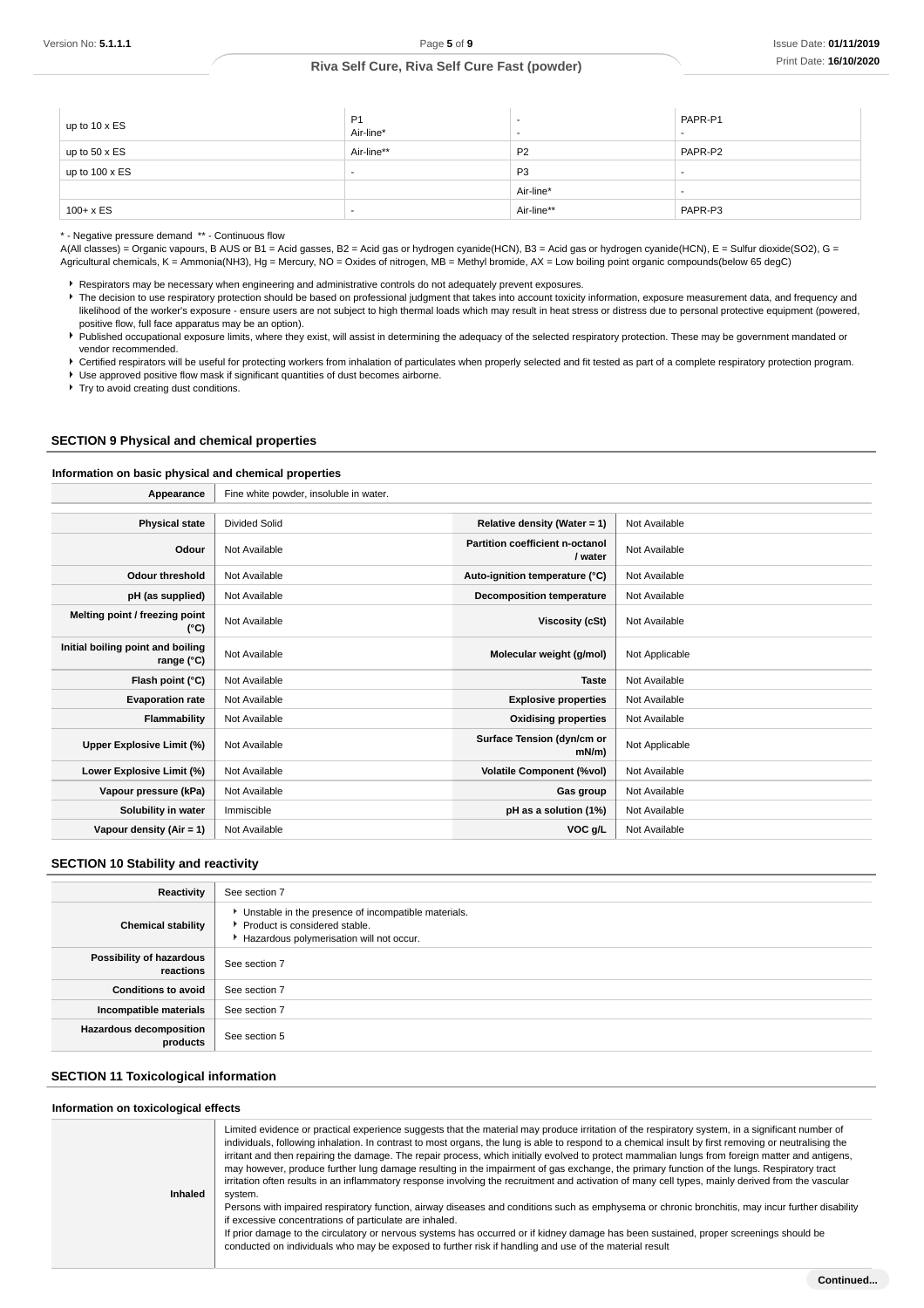| up to $10 \times ES$ | P <sub>1</sub><br>Air-line* | -              | PAPR-P1 |
|----------------------|-----------------------------|----------------|---------|
| up to $50 \times ES$ | Air-line**                  | P <sub>2</sub> | PAPR-P2 |
| up to 100 x ES       | . .                         | P <sub>3</sub> | $\sim$  |
|                      |                             | Air-line*      | $\sim$  |
| $100 + x ES$         | . .                         | Air-line**     | PAPR-P3 |

\* - Negative pressure demand \*\* - Continuous flow

A(All classes) = Organic vapours, B AUS or B1 = Acid gasses, B2 = Acid gas or hydrogen cyanide(HCN), B3 = Acid gas or hydrogen cyanide(HCN), E = Sulfur dioxide(SO2), G = Agricultural chemicals, K = Ammonia(NH3), Hg = Mercury, NO = Oxides of nitrogen, MB = Methyl bromide, AX = Low boiling point organic compounds(below 65 degC)

Respirators may be necessary when engineering and administrative controls do not adequately prevent exposures.

The decision to use respiratory protection should be based on professional judgment that takes into account toxicity information, exposure measurement data, and frequency and likelihood of the worker's exposure - ensure users are not subject to high thermal loads which may result in heat stress or distress due to personal protective equipment (powered, positive flow, full face apparatus may be an option).

Published occupational exposure limits, where they exist, will assist in determining the adequacy of the selected respiratory protection. These may be government mandated or vendor recommended.

Certified respirators will be useful for protecting workers from inhalation of particulates when properly selected and fit tested as part of a complete respiratory protection program.

Use approved positive flow mask if significant quantities of dust becomes airborne.

▶ Try to avoid creating dust conditions.

### **SECTION 9 Physical and chemical properties**

#### **Information on basic physical and chemical properties**

| Appearance                                      | Fine white powder, insoluble in water. |                                                   |                |
|-------------------------------------------------|----------------------------------------|---------------------------------------------------|----------------|
|                                                 |                                        |                                                   |                |
| <b>Physical state</b>                           | <b>Divided Solid</b>                   | Relative density (Water = $1$ )                   | Not Available  |
| Odour                                           | Not Available                          | <b>Partition coefficient n-octanol</b><br>/ water | Not Available  |
| <b>Odour threshold</b>                          | Not Available                          | Auto-ignition temperature (°C)                    | Not Available  |
| pH (as supplied)                                | Not Available                          | Decomposition temperature                         | Not Available  |
| Melting point / freezing point<br>(°C)          | Not Available                          | Viscosity (cSt)                                   | Not Available  |
| Initial boiling point and boiling<br>range (°C) | Not Available                          | Molecular weight (g/mol)                          | Not Applicable |
| Flash point (°C)                                | Not Available                          | <b>Taste</b>                                      | Not Available  |
| <b>Evaporation rate</b>                         | Not Available                          | <b>Explosive properties</b>                       | Not Available  |
| Flammability                                    | Not Available                          | <b>Oxidising properties</b>                       | Not Available  |
| Upper Explosive Limit (%)                       | Not Available                          | Surface Tension (dyn/cm or<br>mN/m                | Not Applicable |
| Lower Explosive Limit (%)                       | Not Available                          | <b>Volatile Component (%vol)</b>                  | Not Available  |
| Vapour pressure (kPa)                           | Not Available                          | Gas group                                         | Not Available  |
| Solubility in water                             | Immiscible                             | pH as a solution (1%)                             | Not Available  |
| Vapour density $(Air = 1)$                      | Not Available                          | VOC g/L                                           | Not Available  |

#### **SECTION 10 Stability and reactivity**

| Reactivity                                 | See section 7                                                                                                                        |
|--------------------------------------------|--------------------------------------------------------------------------------------------------------------------------------------|
| <b>Chemical stability</b>                  | • Unstable in the presence of incompatible materials.<br>▶ Product is considered stable.<br>Hazardous polymerisation will not occur. |
| Possibility of hazardous<br>reactions      | See section 7                                                                                                                        |
| <b>Conditions to avoid</b>                 | See section 7                                                                                                                        |
| Incompatible materials                     | See section 7                                                                                                                        |
| <b>Hazardous decomposition</b><br>products | See section 5                                                                                                                        |

### **SECTION 11 Toxicological information**

### **Information on toxicological effects**

| וווטוווומנוטוו טוו נטגוטטוטטונימו כווכטנס |                                                                                                                                                                                                                                                                                                                                                                                                                                                                                                                                                                                                                                                                                                                                                                                                                                                                                                                                                                                                                                                                                                                                                                                                                                                 |
|-------------------------------------------|-------------------------------------------------------------------------------------------------------------------------------------------------------------------------------------------------------------------------------------------------------------------------------------------------------------------------------------------------------------------------------------------------------------------------------------------------------------------------------------------------------------------------------------------------------------------------------------------------------------------------------------------------------------------------------------------------------------------------------------------------------------------------------------------------------------------------------------------------------------------------------------------------------------------------------------------------------------------------------------------------------------------------------------------------------------------------------------------------------------------------------------------------------------------------------------------------------------------------------------------------|
| <b>Inhaled</b>                            | Limited evidence or practical experience suggests that the material may produce irritation of the respiratory system, in a significant number of<br>individuals, following inhalation. In contrast to most organs, the lung is able to respond to a chemical insult by first removing or neutralising the<br>irritant and then repairing the damage. The repair process, which initially evolved to protect mammalian lungs from foreign matter and antigens,<br>may however, produce further lung damage resulting in the impairment of gas exchange, the primary function of the lungs. Respiratory tract<br>irritation often results in an inflammatory response involving the recruitment and activation of many cell types, mainly derived from the vascular<br>system.<br>Persons with impaired respiratory function, airway diseases and conditions such as emphysema or chronic bronchitis, may incur further disability<br>if excessive concentrations of particulate are inhaled.<br>If prior damage to the circulatory or nervous systems has occurred or if kidney damage has been sustained, proper screenings should be<br>conducted on individuals who may be exposed to further risk if handling and use of the material result |
|                                           |                                                                                                                                                                                                                                                                                                                                                                                                                                                                                                                                                                                                                                                                                                                                                                                                                                                                                                                                                                                                                                                                                                                                                                                                                                                 |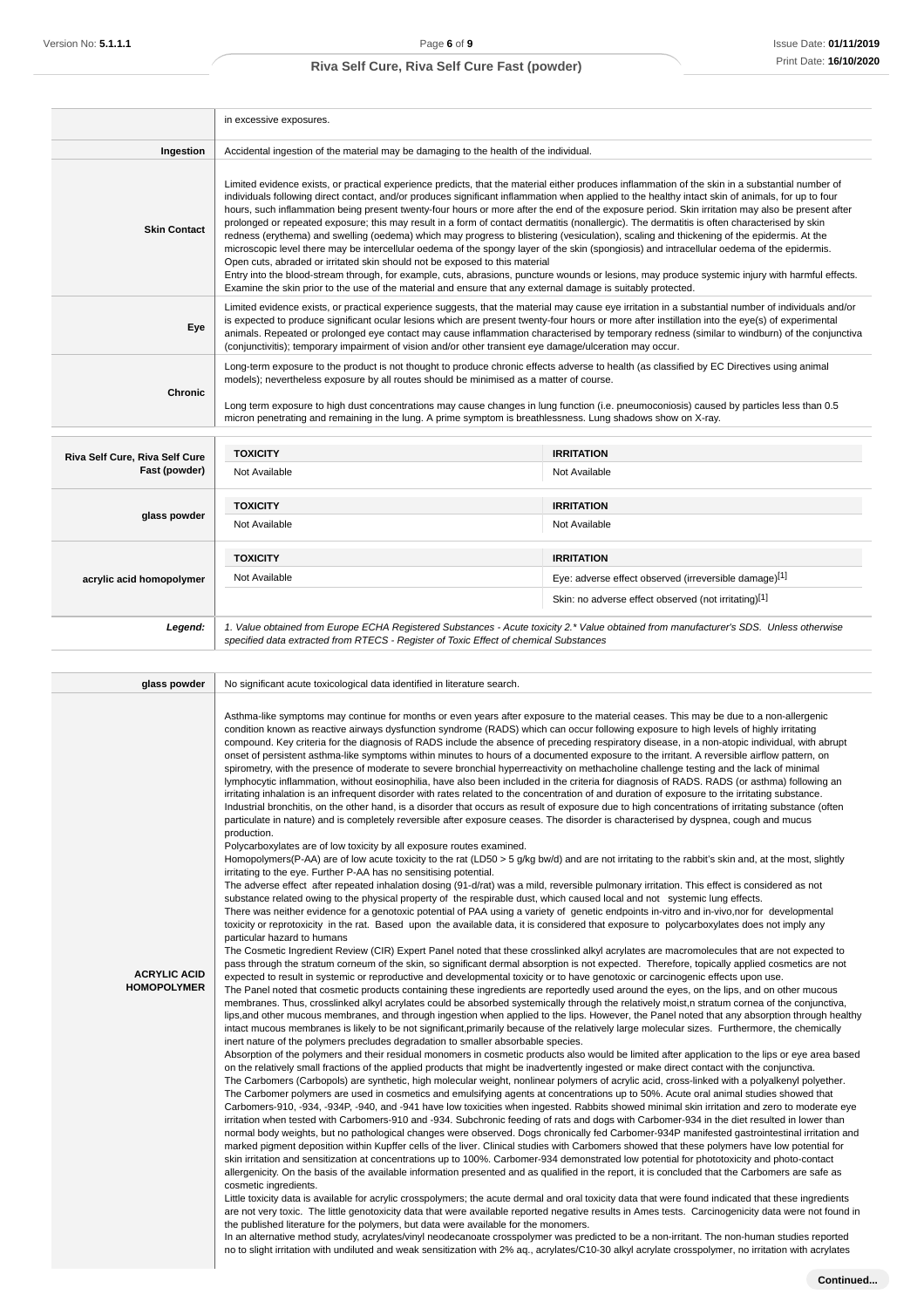|                                                 | in excessive exposures.                                                                                                                                                                                                                                                                                                                                                                                                                                                                                                                                                                                                                                                                                                                                                                                                                                                                                                                                                                                                                                                                                                                                                                                                                                  |                                                                                                                                        |  |  |
|-------------------------------------------------|----------------------------------------------------------------------------------------------------------------------------------------------------------------------------------------------------------------------------------------------------------------------------------------------------------------------------------------------------------------------------------------------------------------------------------------------------------------------------------------------------------------------------------------------------------------------------------------------------------------------------------------------------------------------------------------------------------------------------------------------------------------------------------------------------------------------------------------------------------------------------------------------------------------------------------------------------------------------------------------------------------------------------------------------------------------------------------------------------------------------------------------------------------------------------------------------------------------------------------------------------------|----------------------------------------------------------------------------------------------------------------------------------------|--|--|
| Ingestion                                       | Accidental ingestion of the material may be damaging to the health of the individual.                                                                                                                                                                                                                                                                                                                                                                                                                                                                                                                                                                                                                                                                                                                                                                                                                                                                                                                                                                                                                                                                                                                                                                    |                                                                                                                                        |  |  |
| <b>Skin Contact</b>                             | Limited evidence exists, or practical experience predicts, that the material either produces inflammation of the skin in a substantial number of<br>individuals following direct contact, and/or produces significant inflammation when applied to the healthy intact skin of animals, for up to four<br>hours, such inflammation being present twenty-four hours or more after the end of the exposure period. Skin irritation may also be present after<br>prolonged or repeated exposure; this may result in a form of contact dermatitis (nonallergic). The dermatitis is often characterised by skin<br>redness (erythema) and swelling (oedema) which may progress to blistering (vesiculation), scaling and thickening of the epidermis. At the<br>microscopic level there may be intercellular oedema of the spongy layer of the skin (spongiosis) and intracellular oedema of the epidermis.<br>Open cuts, abraded or irritated skin should not be exposed to this material<br>Entry into the blood-stream through, for example, cuts, abrasions, puncture wounds or lesions, may produce systemic injury with harmful effects.<br>Examine the skin prior to the use of the material and ensure that any external damage is suitably protected. |                                                                                                                                        |  |  |
| Eye                                             | Limited evidence exists, or practical experience suggests, that the material may cause eye irritation in a substantial number of individuals and/or<br>is expected to produce significant ocular lesions which are present twenty-four hours or more after instillation into the eye(s) of experimental<br>animals. Repeated or prolonged eye contact may cause inflammation characterised by temporary redness (similar to windburn) of the conjunctiva<br>(conjunctivitis); temporary impairment of vision and/or other transient eye damage/ulceration may occur.                                                                                                                                                                                                                                                                                                                                                                                                                                                                                                                                                                                                                                                                                     |                                                                                                                                        |  |  |
| <b>Chronic</b>                                  | Long-term exposure to the product is not thought to produce chronic effects adverse to health (as classified by EC Directives using animal<br>models); nevertheless exposure by all routes should be minimised as a matter of course.<br>Long term exposure to high dust concentrations may cause changes in lung function (i.e. pneumoconiosis) caused by particles less than 0.5<br>micron penetrating and remaining in the lung. A prime symptom is breathlessness. Lung shadows show on X-ray.                                                                                                                                                                                                                                                                                                                                                                                                                                                                                                                                                                                                                                                                                                                                                       |                                                                                                                                        |  |  |
|                                                 | <b>TOXICITY</b>                                                                                                                                                                                                                                                                                                                                                                                                                                                                                                                                                                                                                                                                                                                                                                                                                                                                                                                                                                                                                                                                                                                                                                                                                                          | <b>IRRITATION</b>                                                                                                                      |  |  |
| Riva Self Cure, Riva Self Cure<br>Fast (powder) | Not Available                                                                                                                                                                                                                                                                                                                                                                                                                                                                                                                                                                                                                                                                                                                                                                                                                                                                                                                                                                                                                                                                                                                                                                                                                                            | Not Available                                                                                                                          |  |  |
|                                                 | <b>TOXICITY</b>                                                                                                                                                                                                                                                                                                                                                                                                                                                                                                                                                                                                                                                                                                                                                                                                                                                                                                                                                                                                                                                                                                                                                                                                                                          | <b>IRRITATION</b>                                                                                                                      |  |  |
| glass powder                                    | Not Available                                                                                                                                                                                                                                                                                                                                                                                                                                                                                                                                                                                                                                                                                                                                                                                                                                                                                                                                                                                                                                                                                                                                                                                                                                            | Not Available                                                                                                                          |  |  |
|                                                 | <b>TOXICITY</b>                                                                                                                                                                                                                                                                                                                                                                                                                                                                                                                                                                                                                                                                                                                                                                                                                                                                                                                                                                                                                                                                                                                                                                                                                                          | <b>IRRITATION</b>                                                                                                                      |  |  |
| acrylic acid homopolymer                        | Not Available                                                                                                                                                                                                                                                                                                                                                                                                                                                                                                                                                                                                                                                                                                                                                                                                                                                                                                                                                                                                                                                                                                                                                                                                                                            | Eye: adverse effect observed (irreversible damage)[1]                                                                                  |  |  |
|                                                 |                                                                                                                                                                                                                                                                                                                                                                                                                                                                                                                                                                                                                                                                                                                                                                                                                                                                                                                                                                                                                                                                                                                                                                                                                                                          | Skin: no adverse effect observed (not irritating)[1]                                                                                   |  |  |
| Legend:                                         | specified data extracted from RTECS - Register of Toxic Effect of chemical Substances                                                                                                                                                                                                                                                                                                                                                                                                                                                                                                                                                                                                                                                                                                                                                                                                                                                                                                                                                                                                                                                                                                                                                                    | 1. Value obtained from Europe ECHA Registered Substances - Acute toxicity 2.* Value obtained from manufacturer's SDS. Unless otherwise |  |  |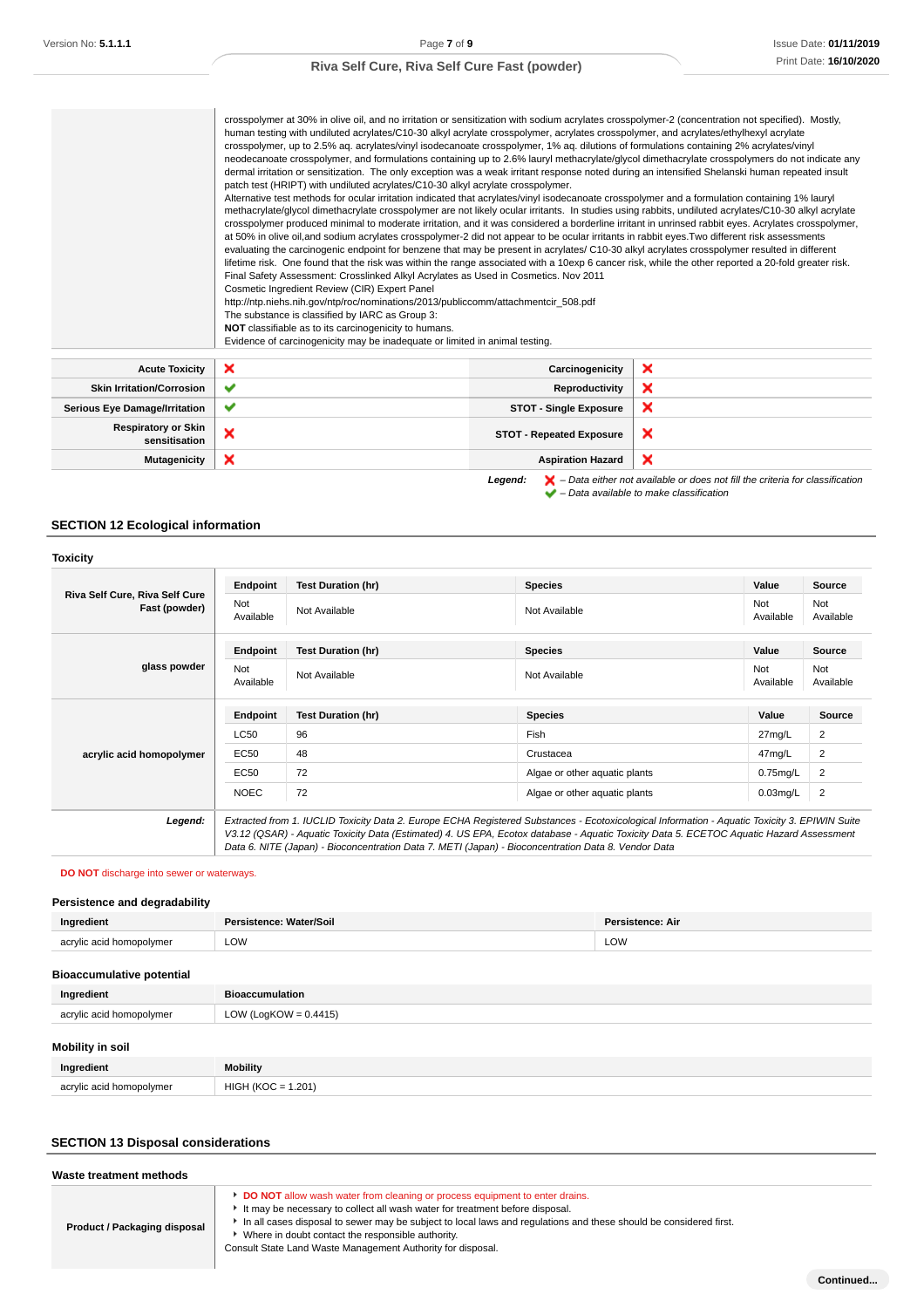|                                             | crosspolymer at 30% in olive oil, and no irritation or sensitization with sodium acrylates crosspolymer-2 (concentration not specified). Mostly,<br>human testing with undiluted acrylates/C10-30 alkyl acrylate crosspolymer, acrylates crosspolymer, and acrylates/ethylhexyl acrylate<br>crosspolymer, up to 2.5% aq. acrylates/vinyl isodecanoate crosspolymer, 1% aq. dilutions of formulations containing 2% acrylates/vinyl<br>neodecanoate crosspolymer, and formulations containing up to 2.6% lauryl methacrylate/glycol dimethacrylate crosspolymers do not indicate any<br>dermal irritation or sensitization. The only exception was a weak irritant response noted during an intensified Shelanski human repeated insult<br>patch test (HRIPT) with undiluted acrylates/C10-30 alkyl acrylate crosspolymer.<br>Alternative test methods for ocular irritation indicated that acrylates/vinyl isodecanoate crosspolymer and a formulation containing 1% lauryl<br>methacrylate/glycol dimethacrylate crosspolymer are not likely ocular irritants. In studies using rabbits, undiluted acrylates/C10-30 alkyl acrylate<br>crosspolymer produced minimal to moderate irritation, and it was considered a borderline irritant in unrinsed rabbit eyes. Acrylates crosspolymer,<br>at 50% in olive oil, and sodium acrylates crosspolymer-2 did not appear to be ocular irritants in rabbit eyes. Two different risk assessments<br>evaluating the carcinogenic endpoint for benzene that may be present in acrylates/C10-30 alkyl acrylates crosspolymer resulted in different<br>lifetime risk. One found that the risk was within the range associated with a 10exp 6 cancer risk, while the other reported a 20-fold greater risk.<br>Final Safety Assessment: Crosslinked Alkyl Acrylates as Used in Cosmetics. Nov 2011<br>Cosmetic Ingredient Review (CIR) Expert Panel<br>http://ntp.niehs.nih.gov/ntp/roc/nominations/2013/publiccomm/attachmentcir_508.pdf<br>The substance is classified by IARC as Group 3:<br>NOT classifiable as to its carcinogenicity to humans. |                                 |   |
|---------------------------------------------|--------------------------------------------------------------------------------------------------------------------------------------------------------------------------------------------------------------------------------------------------------------------------------------------------------------------------------------------------------------------------------------------------------------------------------------------------------------------------------------------------------------------------------------------------------------------------------------------------------------------------------------------------------------------------------------------------------------------------------------------------------------------------------------------------------------------------------------------------------------------------------------------------------------------------------------------------------------------------------------------------------------------------------------------------------------------------------------------------------------------------------------------------------------------------------------------------------------------------------------------------------------------------------------------------------------------------------------------------------------------------------------------------------------------------------------------------------------------------------------------------------------------------------------------------------------------------------------------------------------------------------------------------------------------------------------------------------------------------------------------------------------------------------------------------------------------------------------------------------------------------------------------------------------------------------------------------------------------------------------------------------------------------------------------------------------------------------------------|---------------------------------|---|
| <b>Acute Toxicity</b>                       | ×                                                                                                                                                                                                                                                                                                                                                                                                                                                                                                                                                                                                                                                                                                                                                                                                                                                                                                                                                                                                                                                                                                                                                                                                                                                                                                                                                                                                                                                                                                                                                                                                                                                                                                                                                                                                                                                                                                                                                                                                                                                                                          | Carcinogenicity                 | × |
| <b>Skin Irritation/Corrosion</b>            | ✔                                                                                                                                                                                                                                                                                                                                                                                                                                                                                                                                                                                                                                                                                                                                                                                                                                                                                                                                                                                                                                                                                                                                                                                                                                                                                                                                                                                                                                                                                                                                                                                                                                                                                                                                                                                                                                                                                                                                                                                                                                                                                          | Reproductivity                  | × |
| <b>Serious Eye Damage/Irritation</b>        | ✔                                                                                                                                                                                                                                                                                                                                                                                                                                                                                                                                                                                                                                                                                                                                                                                                                                                                                                                                                                                                                                                                                                                                                                                                                                                                                                                                                                                                                                                                                                                                                                                                                                                                                                                                                                                                                                                                                                                                                                                                                                                                                          | <b>STOT - Single Exposure</b>   | × |
| <b>Respiratory or Skin</b><br>sensitisation | ×                                                                                                                                                                                                                                                                                                                                                                                                                                                                                                                                                                                                                                                                                                                                                                                                                                                                                                                                                                                                                                                                                                                                                                                                                                                                                                                                                                                                                                                                                                                                                                                                                                                                                                                                                                                                                                                                                                                                                                                                                                                                                          | <b>STOT - Repeated Exposure</b> | × |
| <b>Mutagenicity</b>                         | ×                                                                                                                                                                                                                                                                                                                                                                                                                                                                                                                                                                                                                                                                                                                                                                                                                                                                                                                                                                                                                                                                                                                                                                                                                                                                                                                                                                                                                                                                                                                                                                                                                                                                                                                                                                                                                                                                                                                                                                                                                                                                                          | <b>Aspiration Hazard</b>        | × |

**Legend:**  $\mathbf{X}$  – Data either not available or does not fill the criteria for classification – Data available to make classification

# **SECTION 12 Ecological information**

| Riva Self Cure, Riva Self Cure<br>Fast (powder) | Endpoint         | <b>Test Duration (hr)</b> | <b>Species</b>                | Value            | Source           |
|-------------------------------------------------|------------------|---------------------------|-------------------------------|------------------|------------------|
|                                                 | Not<br>Available | Not Available             | Not Available                 | Not<br>Available | Not<br>Available |
| glass powder                                    | Endpoint         | <b>Test Duration (hr)</b> | <b>Species</b>                | Value            | <b>Source</b>    |
|                                                 | Not<br>Available | Not Available             | Not Available                 | Not<br>Available | Not<br>Available |
|                                                 | Endpoint         | <b>Test Duration (hr)</b> | <b>Species</b>                | Value            | <b>Source</b>    |
|                                                 | LC50             | 96                        | Fish                          | 27mg/L           | 2                |
| acrylic acid homopolymer                        | EC50             | 48                        | Crustacea                     | 47mg/L           | 2                |
|                                                 | <b>EC50</b>      | 72                        | Algae or other aquatic plants | $0.75$ mg/L      | 2                |
|                                                 | <b>NOEC</b>      | 72                        | Algae or other aquatic plants | $0.03$ mg/L      | 2                |
|                                                 |                  |                           |                               |                  |                  |

**DO NOT** discharge into sewer or waterways.

#### **Persistence and degradability**

| Ingredient             | Water/Soil<br>$\ddotsc$ | Dar.<br>sistence: Air |
|------------------------|-------------------------|-----------------------|
| acryl<br>$\sim$ $\sim$ | LOW                     | LOW                   |

# **Bioaccumulative potential**

| Ingredient               | <b>Bioaccumulation</b>   |
|--------------------------|--------------------------|
| acrylic acid homopolymer | LOW (LogKOW = $0.4415$ ) |
|                          |                          |
| <b>Mobility in soil</b>  |                          |

| Ingredient               | <b>Mobility</b>    |
|--------------------------|--------------------|
| acrylic acid homopolymer | HIGH (KOO<br>.201' |

### **SECTION 13 Disposal considerations**

| Waste treatment methods      |                                                                                                                                                                        |  |
|------------------------------|------------------------------------------------------------------------------------------------------------------------------------------------------------------------|--|
|                              | <b>DO NOT</b> allow wash water from cleaning or process equipment to enter drains.<br>It may be necessary to collect all wash water for treatment before disposal.     |  |
| Product / Packaging disposal | In all cases disposal to sewer may be subject to local laws and requlations and these should be considered first.<br>Where in doubt contact the responsible authority. |  |
|                              | Consult State Land Waste Management Authority for disposal.                                                                                                            |  |

**Continued...**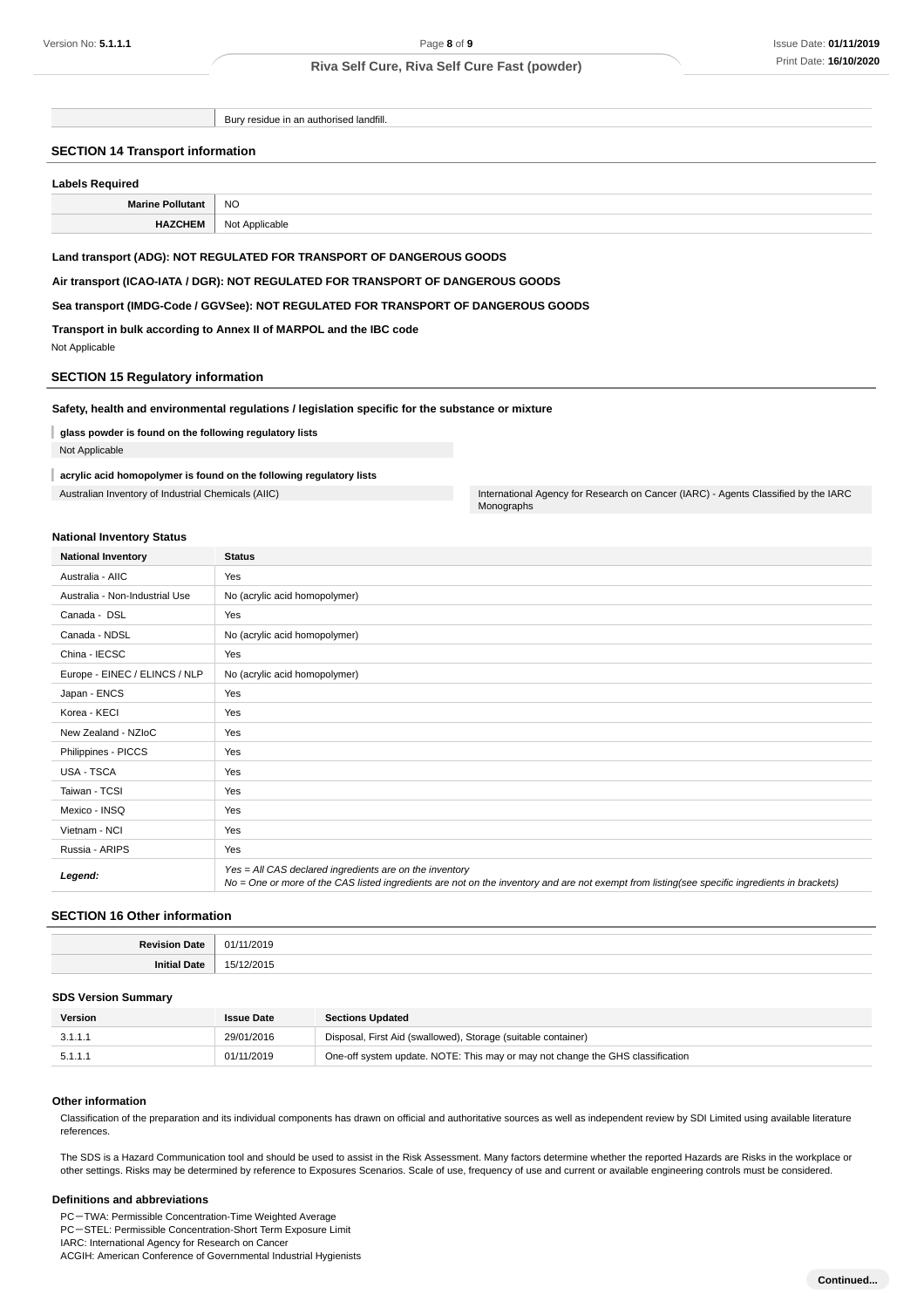Bury residue in an authorised landfill.

#### **SECTION 14 Transport information**

| <b>Labels Required</b> |                |  |
|------------------------|----------------|--|
| Marine Pollutant       | <b>NO</b>      |  |
| <b>HAZCHEM</b>         | Not Applicable |  |

#### **Land transport (ADG): NOT REGULATED FOR TRANSPORT OF DANGEROUS GOODS**

**Air transport (ICAO-IATA / DGR): NOT REGULATED FOR TRANSPORT OF DANGEROUS GOODS**

#### **Sea transport (IMDG-Code / GGVSee): NOT REGULATED FOR TRANSPORT OF DANGEROUS GOODS**

**Transport in bulk according to Annex II of MARPOL and the IBC code**

Not Applicable

#### **SECTION 15 Regulatory information**

#### **Safety, health and environmental regulations / legislation specific for the substance or mixture**

- **glass powder is found on the following regulatory lists**
- Not Applicable

#### **acrylic acid homopolymer is found on the following regulatory lists**

Australian Inventory of Industrial Chemicals (AIIC) **International Agency for Research on Cancer (IARC)** - Agents Classified by the IARC

### **National Inventory Status**

| <b>National Inventory</b>      | <b>Status</b>                                                                                                                                                                                            |
|--------------------------------|----------------------------------------------------------------------------------------------------------------------------------------------------------------------------------------------------------|
| Australia - AIIC               | Yes                                                                                                                                                                                                      |
| Australia - Non-Industrial Use | No (acrylic acid homopolymer)                                                                                                                                                                            |
| Canada - DSL                   | Yes                                                                                                                                                                                                      |
| Canada - NDSL                  | No (acrylic acid homopolymer)                                                                                                                                                                            |
| China - IECSC                  | Yes                                                                                                                                                                                                      |
| Europe - EINEC / ELINCS / NLP  | No (acrylic acid homopolymer)                                                                                                                                                                            |
| Japan - ENCS                   | Yes                                                                                                                                                                                                      |
| Korea - KECI                   | Yes                                                                                                                                                                                                      |
| New Zealand - NZIoC            | Yes                                                                                                                                                                                                      |
| Philippines - PICCS            | Yes                                                                                                                                                                                                      |
| USA - TSCA                     | Yes                                                                                                                                                                                                      |
| Taiwan - TCSI                  | Yes                                                                                                                                                                                                      |
| Mexico - INSQ                  | Yes                                                                                                                                                                                                      |
| Vietnam - NCI                  | Yes                                                                                                                                                                                                      |
| Russia - ARIPS                 | Yes                                                                                                                                                                                                      |
| Legend:                        | Yes = All CAS declared ingredients are on the inventory<br>No = One or more of the CAS listed ingredients are not on the inventory and are not exempt from listing(see specific ingredients in brackets) |

Monographs

#### **SECTION 16 Other information**

| . | N1.<br>,,,,<br>.     |
|---|----------------------|
|   | $\sqrt{2}$<br>.<br>. |

#### **SDS Version Summary**

| Version | <b>Issue Date</b> | <b>Sections Updated</b>                                                        |
|---------|-------------------|--------------------------------------------------------------------------------|
| 3.1.1.1 | 29/01/2016        | Disposal, First Aid (swallowed), Storage (suitable container)                  |
| 5.1.1.1 | 01/11/2019        | One-off system update. NOTE: This may or may not change the GHS classification |

#### **Other information**

Classification of the preparation and its individual components has drawn on official and authoritative sources as well as independent review by SDI Limited using available literature references.

The SDS is a Hazard Communication tool and should be used to assist in the Risk Assessment. Many factors determine whether the reported Hazards are Risks in the workplace or other settings. Risks may be determined by reference to Exposures Scenarios. Scale of use, frequency of use and current or available engineering controls must be considered.

#### **Definitions and abbreviations**

PC-TWA: Permissible Concentration-Time Weighted Average PC-STEL: Permissible Concentration-Short Term Exposure Limit IARC: International Agency for Research on Cancer ACGIH: American Conference of Governmental Industrial Hygienists